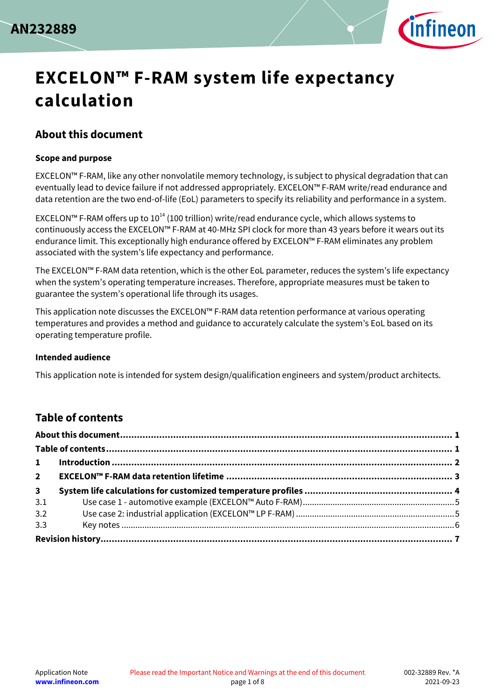



# **EXCELON™ F-RAM system life expectancy calculation**

### <span id="page-0-0"></span>**About this document**

#### **Scope and purpose**

EXCELON™ F-RAM, like any other nonvolatile memory technology, is subject to physical degradation that can eventually lead to device failure if not addressed appropriately. EXCELON™ F-RAM write/read endurance and data retention are the two end-of-life (EoL) parameters to specify its reliability and performance in a system.

EXCELON™ F-RAM offers up to  $10^{14}$  (100 trillion) write/read endurance cycle, which allows systems to continuously access the EXCELON™ F-RAM at 40-MHz SPI clock for more than 43 years before it wears out its endurance limit. This exceptionally high endurance offered by EXCELON™ F-RAM eliminates any problem associated with the system's life expectancy and performance.

The EXCELON™ F-RAM data retention, which is the other EoL parameter, reduces the system's life expectancy when the system's operating temperature increases. Therefore, appropriate measures must be taken to guarantee the system's operational life through its usages.

This application note discusses the EXCELON™ F-RAM data retention performance at various operating temperatures and provides a method and guidance to accurately calculate the system's EoL based on its operating temperature profile.

#### **Intended audience**

This application note is intended for system design/qualification engineers and system/product architects.

### <span id="page-0-1"></span>**Table of contents**

| 3 <sup>7</sup> |  |  |  |  |
|----------------|--|--|--|--|
| 3.1            |  |  |  |  |
| 3.2            |  |  |  |  |
| 3.3            |  |  |  |  |
|                |  |  |  |  |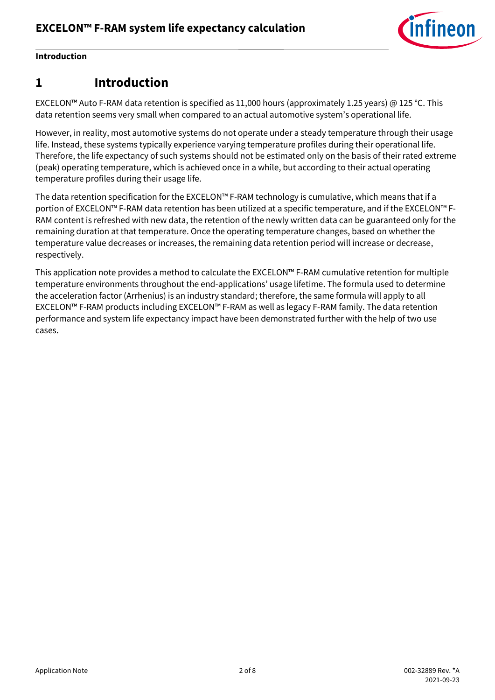

### **Introduction**

## <span id="page-1-0"></span>**1 Introduction**

EXCELON™ Auto F-RAM data retention is specified as 11,000 hours (approximately 1.25 years) @ 125 °C. This data retention seems very small when compared to an actual automotive system's operational life.

However, in reality, most automotive systems do not operate under a steady temperature through their usage life. Instead, these systems typically experience varying temperature profiles during their operational life. Therefore, the life expectancy of such systems should not be estimated only on the basis of their rated extreme (peak) operating temperature, which is achieved once in a while, but according to their actual operating temperature profiles during their usage life.

The data retention specification for the EXCELON™ F-RAM technology is cumulative, which means that if a portion of EXCELON™ F-RAM data retention has been utilized at a specific temperature, and if the EXCELON™ F-RAM content is refreshed with new data, the retention of the newly written data can be guaranteed only for the remaining duration at that temperature. Once the operating temperature changes, based on whether the temperature value decreases or increases, the remaining data retention period will increase or decrease, respectively.

This application note provides a method to calculate the EXCELON™ F-RAM cumulative retention for multiple temperature environments throughout the end-applications' usage lifetime. The formula used to determine the acceleration factor (Arrhenius) is an industry standard; therefore, the same formula will apply to all EXCELON™ F-RAM products including EXCELON™ F-RAM as well as legacy F-RAM family. The data retention performance and system life expectancy impact have been demonstrated further with the help of two use cases.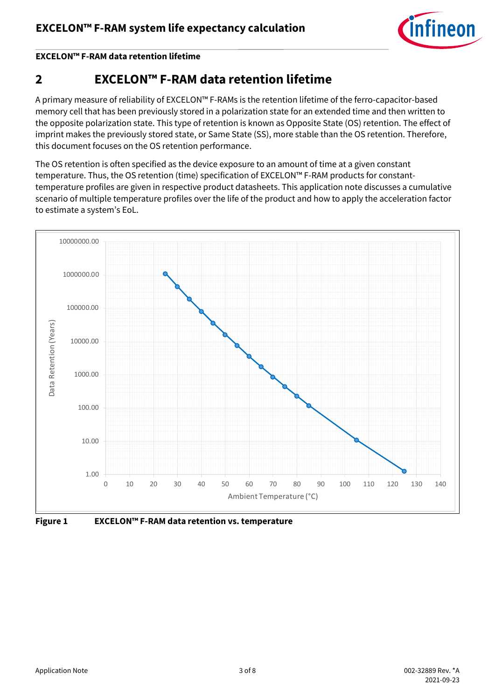

#### **EXCELON™ F-RAM data retention lifetime**

# <span id="page-2-0"></span>**2 EXCELON™ F-RAM data retention lifetime**

A primary measure of reliability of EXCELON™ F-RAMs is the retention lifetime of the ferro-capacitor-based memory cell that has been previously stored in a polarization state for an extended time and then written to the opposite polarization state. This type of retention is known as Opposite State (OS) retention. The effect of imprint makes the previously stored state, or Same State (SS), more stable than the OS retention. Therefore, this document focuses on the OS retention performance.

The OS retention is often specified as the device exposure to an amount of time at a given constant temperature. Thus, the OS retention (time) specification of EXCELON™ F-RAM products for constanttemperature profiles are given in respective product datasheets. This application note discusses a cumulative scenario of multiple temperature profiles over the life of the product and how to apply the acceleration factor to estimate a system's EoL.



**Figure 1 EXCELON™ F-RAM data retention vs. temperature**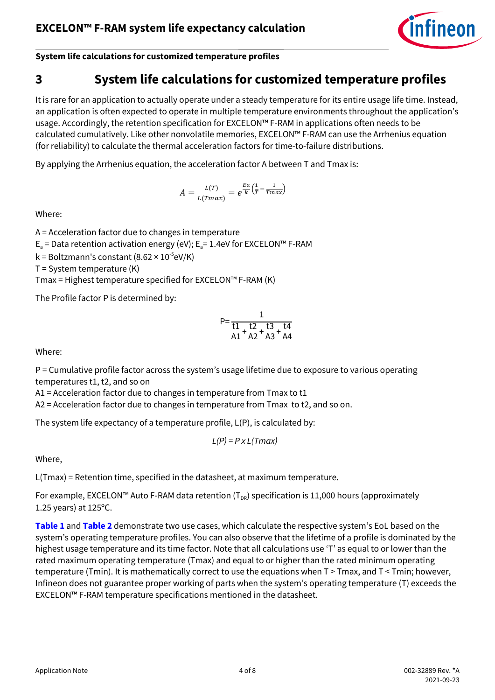

**System life calculations for customized temperature profiles**

## <span id="page-3-0"></span>**3 System life calculations for customized temperature profiles**

It is rare for an application to actually operate under a steady temperature for its entire usage life time. Instead, an application is often expected to operate in multiple temperature environments throughout the application's usage. Accordingly, the retention specification for EXCELON™ F-RAM in applications often needs to be calculated cumulatively. Like other nonvolatile memories, EXCELON™ F-RAM can use the Arrhenius equation (for reliability) to calculate the thermal acceleration factors for time-to-failure distributions.

By applying the Arrhenius equation, the acceleration factor A between T and Tmax is:

$$
A = \frac{L(T)}{L(Tmax)} = e^{\frac{Ea}{k} \left(\frac{1}{T} - \frac{1}{Tmax}\right)}
$$

Where:

A = Acceleration factor due to changes in temperature

 $E<sub>a</sub>$  = Data retention activation energy (eV); E<sub>a</sub> = 1.4eV for EXCELON<sup>™</sup> F-RAM

 $k$  = Boltzmann's constant (8.62 × 10<sup>-5</sup>eV/K)

 $T =$  System temperature  $(K)$ 

Tmax = Highest temperature specified for EXCELON™ F-RAM (K)

The Profile factor P is determined by:

$$
P=\frac{1}{\frac{t1}{A1}+\frac{t2}{A2}+\frac{t3}{A3}+\frac{t4}{A4}}
$$

Where:

P = Cumulative profile factor across the system's usage lifetime due to exposure to various operating temperatures t1, t2, and so on

A1 = Acceleration factor due to changes in temperature from Tmax to t1

A2 = Acceleration factor due to changes in temperature from Tmax to t2, and so on.

The system life expectancy of a temperature profile, L(P), is calculated by:

$$
L(P) = P \times L(Tmax)
$$

Where,

L(Tmax) = Retention time, specified in the datasheet, at maximum temperature.

For example, EXCELON™ Auto F-RAM data retention ( $T_{DR}$ ) specification is 11,000 hours (approximately 1.25 years) at 125ºC.

**[Table 1](#page-4-2)** and **[Table 2](#page-4-3)** demonstrate two use cases, which calculate the respective system's EoL based on the system's operating temperature profiles. You can also observe that the lifetime of a profile is dominated by the highest usage temperature and its time factor. Note that all calculations use 'T' as equal to or lower than the rated maximum operating temperature (Tmax) and equal to or higher than the rated minimum operating temperature (Tmin). It is mathematically correct to use the equations when T > Tmax, and T < Tmin; however, Infineon does not guarantee proper working of parts when the system's operating temperature (T) exceeds the EXCELON™ F-RAM temperature specifications mentioned in the datasheet.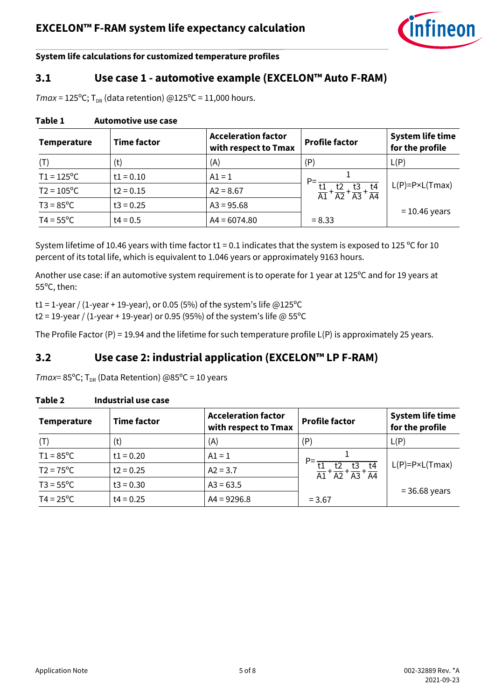

**System life calculations for customized temperature profiles**

### <span id="page-4-0"></span>**3.1 Use case 1 - automotive example (EXCELON™ Auto F-RAM)**

 $Tmax = 125^{\circ}$ C; T<sub>DR</sub> (data retention) @125°C = 11,000 hours.

#### <span id="page-4-2"></span>**Table 1 Automotive use case**

| <b>Temperature</b>  | <b>Time factor</b> | <b>Acceleration factor</b><br>with respect to Tmax | <b>Profile factor</b>                                                            | <b>System life time</b><br>for the profile |
|---------------------|--------------------|----------------------------------------------------|----------------------------------------------------------------------------------|--------------------------------------------|
| (T)                 | (t)                | (A)                                                | (P)                                                                              | L(P)                                       |
| $T1 = 125^{\circ}C$ | $t1 = 0.10$        | $A1 = 1$                                           | $P=$                                                                             |                                            |
| $T2 = 105^{\circ}C$ | $t2 = 0.15$        | $A2 = 8.67$                                        | t4<br>t3<br>$\frac{t1}{A1} + \frac{t2}{A2} + \frac{t3}{A3} +$<br>$\overline{A4}$ | $L(P)=P\times L(Tmax)$                     |
| $T3 = 85^{\circ}C$  | $t3 = 0.25$        | $A3 = 95.68$                                       |                                                                                  | $= 10.46$ years                            |
| $T4 = 55^{\circ}C$  | $t4 = 0.5$         | $AA = 6074.80$                                     | $= 8.33$                                                                         |                                            |

System lifetime of 10.46 years with time factor  $t1 = 0.1$  indicates that the system is exposed to 125 °C for 10 percent of its total life, which is equivalent to 1.046 years or approximately 9163 hours.

Another use case: if an automotive system requirement is to operate for 1 year at 125ºC and for 19 years at 55ºC, then:

t1 = 1-year / (1-year + 19-year), or 0.05 (5%) of the system's life  $@125°C$ 

t2 = 19-year / (1-year + 19-year) or 0.95 (95%) of the system's life @ 55°C

The Profile Factor (P) = 19.94 and the lifetime for such temperature profile L(P) is approximately 25 years.

### <span id="page-4-1"></span>**3.2 Use case 2: industrial application (EXCELON™ LP F-RAM)**

*Tmax*= 85°C;  $T_{DR}$  (Data Retention) @85°C = 10 years

| <b>Temperature</b> | <b>Time factor</b> | <b>Acceleration factor</b><br>with respect to Tmax | <b>Profile factor</b>                                                   | <b>System life time</b><br>for the profile |
|--------------------|--------------------|----------------------------------------------------|-------------------------------------------------------------------------|--------------------------------------------|
| (T)                | (t)                | (A)                                                | (P)                                                                     | L(P)                                       |
| $T1 = 85^{\circ}C$ | $t1 = 0.20$        | $A1 = 1$                                           | $P=$                                                                    |                                            |
| $T2 = 75^{\circ}C$ | $t2 = 0.25$        | $A2 = 3.7$                                         | $\frac{t_1}{A_1} + \frac{t_2}{A_2} + \frac{t_3}{A_3} + \frac{t_4}{A_4}$ | $L(P)=P\times L(Tmax)$                     |
| $T3 = 55^{\circ}C$ | $t3 = 0.30$        | $A3 = 63.5$                                        |                                                                         | $= 36.68$ years                            |
| $T4 = 25^{\circ}C$ | $t4 = 0.25$        | $AA = 9296.8$                                      | $= 3.67$                                                                |                                            |

#### <span id="page-4-3"></span>**Table 2 Industrial use case**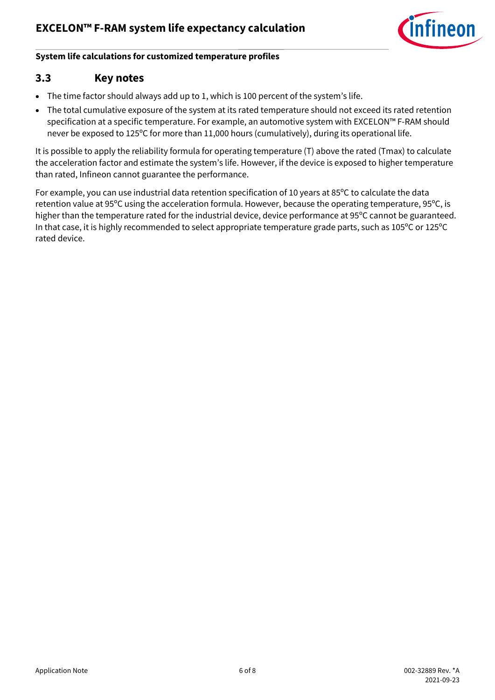

#### **System life calculations for customized temperature profiles**

### <span id="page-5-0"></span>**3.3 Key notes**

- The time factor should always add up to 1, which is 100 percent of the system's life.
- The total cumulative exposure of the system at its rated temperature should not exceed its rated retention specification at a specific temperature. For example, an automotive system with EXCELON™ F-RAM should never be exposed to 125ºC for more than 11,000 hours (cumulatively), during its operational life.

It is possible to apply the reliability formula for operating temperature (T) above the rated (Tmax) to calculate the acceleration factor and estimate the system's life. However, if the device is exposed to higher temperature than rated, Infineon cannot guarantee the performance.

For example, you can use industrial data retention specification of 10 years at 85ºC to calculate the data retention value at 95ºC using the acceleration formula. However, because the operating temperature, 95ºC, is higher than the temperature rated for the industrial device, device performance at 95ºC cannot be guaranteed. In that case, it is highly recommended to select appropriate temperature grade parts, such as 105ºC or 125ºC rated device.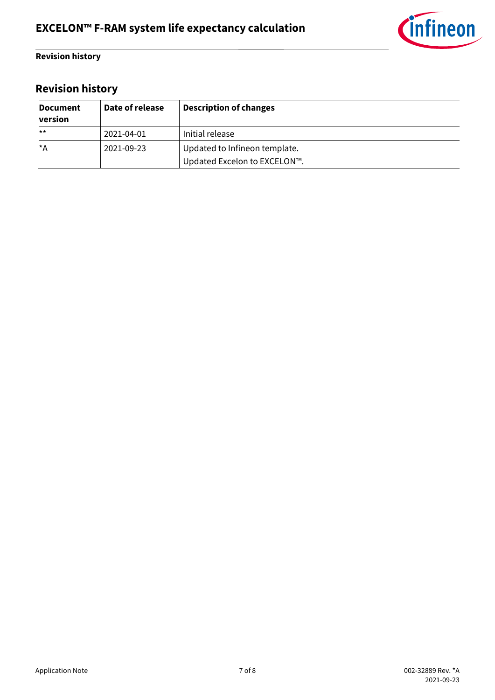

### **Revision history**

# <span id="page-6-0"></span>**Revision history**

| <b>Document</b><br>version | Date of release | <b>Description of changes</b> |
|----------------------------|-----------------|-------------------------------|
| $***$                      | 2021-04-01      | Initial release               |
| *A                         | 2021-09-23      | Updated to Infineon template. |
|                            |                 | Updated Excelon to EXCELON™.  |